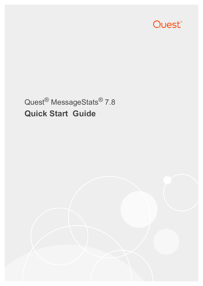

# Quest® MessageStats® 7.8 **Quick Start Guide**

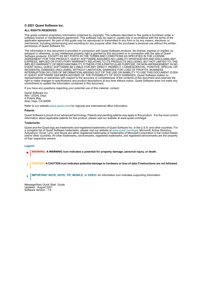#### **© 2021 Quest Software Inc.**

#### **ALL RIGHTS RESERVED.**

This guide contains proprietary information protected by copyright. The software described in this guide is furnished under a software license or nondisclosure agreement. This software may be used or copied only in accordance with the terms of the applicable agreement. No part of this guide may be reproduced or transmitted in any form or by any means, electronic or mechanical, including photocopying and recording for any purpose other than the purchaser's personal use without the written permission of Quest Software Inc.

The information in this document is provided in connection with Quest Software products. No license, express or implied, by estoppel or otherwise, to any intellectual property right is granted by this document or in connection with the sale of Quest<br>Software products. EXCEPT AS SET FORTH IN THE TERMS AND CONDITIONS AS SPECIFIED IN THE LICENSE<br>A EXPRESS, IMPLIED OR STATUTORY WARRANTY RELATING TO ITS PRODUCTS INCLUDING, BUT NOT LIMITED TO, THE IMPLIED WARRANTY OF MERCHANTABILITY, FITNESS FOR A PARTICULAR PURPOSE, OR NON-INFRINGEMENT. IN NO EVENT SHALL QUEST SOFTWARE BE LIABLE FOR ANY DIRECT, INDIRECT, CONSEQUENTIAL, PUNITIVE, SPECIAL OR INCIDENTAL DAMAGES (INCLUDING, WITHOUT LIMITATION, DAMAGES FOR LOSS OF PROFITS, BUSINESS<br>INTERRUPTION OR LOSS OF INFORMATION) ARISING OUT OF THE USE OR INABILITY TO USE THIS DOCUMENT, EVEN IF QUEST SOFTWARE HAS BEEN ADVISED OF THE POSSIBILITY OF SUCH DAMAGES. Quest Software makes no representations or warranties with respect to the accuracy or completeness of the contents of this document and reserves the right to make changes to specifications and product descriptions at any time without notice. Quest Software does not make any commitment to update the information contained in this document.

If you have any questions regarding your potential use of this material, contact:

Quest Software Inc. Attn: LEGAL Dept. 4 Polaris Way Aliso Viejo, CA 92656

Refer to our website [\(www.quest.com](http://www.quest.com)) for regional and international office information.

#### **Patents**

Quest Software is proud of our advanced technology. Patents and pending patents may apply to this product. For the most current information about applicable patents for this product, please visit our website at www.quest.com/legal.

#### **Trademarks**

Quest and the Quest logo are trademarks and registered trademarks of Quest Software Inc. in the U.S.A. and other countries. For a complete list of Quest Software trademarks, please visit our website at [www.quest.com/legal.](http://www.quest.com/legal) Microsoft, Active Directory, ActiveSync, Excel, Lync, and Skype are either registered trademarks or trademarks of Microsoft Corporation in the United States and/or other countries. All other trademarks, servicemarks, registered trademarks, and registered servicemarks are the property of their respective owners.

#### **Legend**

- **WARNING: A WARNING icon indicates a potential for property damage, personal injury, or death.**
- **CAUTION: A CAUTION icon indicates potential damage to hardware or loss of data if instructions are not followed.** Ţ

**IMPORTANT NOTE**, **NOTE**, **TIP**, **MOBILE**, or **VIDEO:** An information icon indicates supporting information.i

MessageStats Quick Start Guide Updated - August 2021 Software Version - 7.8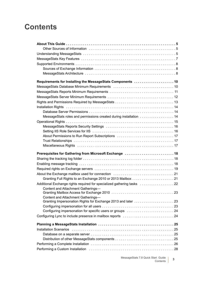## **Contents**

| Requirements for Installing the MessageStats Components 10                                                                                                                                                                     |    |
|--------------------------------------------------------------------------------------------------------------------------------------------------------------------------------------------------------------------------------|----|
|                                                                                                                                                                                                                                |    |
|                                                                                                                                                                                                                                |    |
|                                                                                                                                                                                                                                |    |
|                                                                                                                                                                                                                                |    |
| Installation Rights National Account of the University of the University of the University of the University of the University of the University of the University of the University of the University of the University of th |    |
|                                                                                                                                                                                                                                |    |
| MessageStats roles and permissions created during installation  14                                                                                                                                                             |    |
|                                                                                                                                                                                                                                |    |
|                                                                                                                                                                                                                                |    |
|                                                                                                                                                                                                                                |    |
|                                                                                                                                                                                                                                |    |
|                                                                                                                                                                                                                                |    |
|                                                                                                                                                                                                                                |    |
|                                                                                                                                                                                                                                |    |
| Prerequisites for Gathering from Microsoft Exchange  18                                                                                                                                                                        |    |
|                                                                                                                                                                                                                                |    |
|                                                                                                                                                                                                                                |    |
|                                                                                                                                                                                                                                |    |
|                                                                                                                                                                                                                                |    |
|                                                                                                                                                                                                                                |    |
| Additional Exchange rights required for specialized gathering tasks                                                                                                                                                            |    |
| Content and Attachment Gatherings-                                                                                                                                                                                             |    |
|                                                                                                                                                                                                                                | 23 |
| Content and Attachment Gatherings-                                                                                                                                                                                             |    |
|                                                                                                                                                                                                                                |    |
|                                                                                                                                                                                                                                |    |
| Configuring impersonation for specific users or groups 24                                                                                                                                                                      |    |
|                                                                                                                                                                                                                                |    |
|                                                                                                                                                                                                                                |    |
| Installation Scenarios (and according to the control of the control of the control of the control of the control of the control of the control of the control of the control of the control of the control of the control of t |    |
|                                                                                                                                                                                                                                |    |
|                                                                                                                                                                                                                                |    |
| Performing a Custom Installation (a) contain the content of the content of the content of the content of the c                                                                                                                 |    |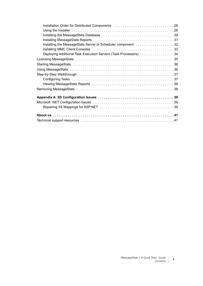| Installation Order for Distributed Components 28                                                               |
|----------------------------------------------------------------------------------------------------------------|
|                                                                                                                |
|                                                                                                                |
|                                                                                                                |
| Installing the MessageStats Server or Scheduler component 32                                                   |
|                                                                                                                |
| Deploying Additional Task Execution Servers (Task Processors) 34                                               |
|                                                                                                                |
|                                                                                                                |
|                                                                                                                |
|                                                                                                                |
|                                                                                                                |
| Viewing MessageStats Reports (and the content of the view of the view of the view of the view of the view of t |
|                                                                                                                |
|                                                                                                                |
|                                                                                                                |
|                                                                                                                |
|                                                                                                                |
|                                                                                                                |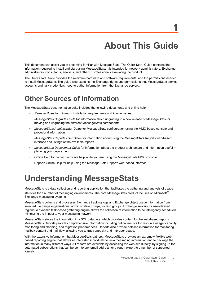# **About This Guide**

**1**

<span id="page-4-0"></span>This document can assist you in becoming familiar with MessageStats. The Quick Start Guide contains the information required to install and start using MessageStats. It is intended for network administrators, Exchange administrators, consultants, analysts, and other IT professionals evaluating the product.

The Quick Start Guide provides the minimum hardware and software requirements, and the permissions needed to install MessageStats. The guide also explains the Exchange rights and permissions that MessageStats service accounts and task credentials need to gather information from the Exchange servers.

### <span id="page-4-1"></span>**Other Sources of Information**

The MessageStats documentation suite includes the following documents and online help:

- **•** *Release Notes* for minimum installation requirements and known issues.
- **•** *MessageStats Upgrade Guide* for information about upgrading to a new release of MessageStats, or moving and upgrading the different MessageStats components.
- **•** *MessageStats Administrator Guide* for MessageStats configuration using the MMC-based console and procedural information.
- **•** *MessageStats Reports User Guide* for information about using the MessageStats Reports web-based interface and listings of the available reports
- **•** *MessageStats Deployment Guide* for information about the product architecture and information useful in planning your deployment.
- **•** Online Help for context sensitive help while you are using the MessageStats MMC console.
- **•** Reports Online Help for help using the MessageStats Reports web-based interface.

# <span id="page-4-2"></span>**Understanding MessageStats**

MessageStats is a data collection and reporting application that facilitates the gathering and analysis of usage statistics for a number of messaging environments. The core MessageStats product focuses on Microsoft® Exchange messaging systems.

MessageStats collects and processes Exchange tracking logs and Exchange object usage information from selected Exchange organizations, administrative groups, routing groups, Exchange servers, or user-defined regions. A dynamic task-based gathering engine allows the collection of information to be intelligently scheduled, minimizing the impact to your messaging network.

MessageStats stores the information in a SQL database, which provides content for the web-based reports. MessageStats Reports provide comprehensive information including critical metrics for resource usage, capacity monitoring and planning, and migration preparedness. Reports also provide detailed information for monitoring mailbox content and mail flow, allowing you to track capacity and improper usage.

With the extensive information that MessageStats gathers, MessageStats provides an extremely flexible webbased reporting engine that allows all interested individuals to view messaging information and to package the information in many different ways. All reports are available by accessing the web site directly, by signing up for automated subscriptions that can be sent to any email address, or through export to a number of supported formats.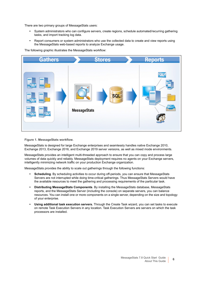There are two primary groups of MessageStats users:

- **•** System administrators who can configure servers, create regions, schedule automated/recurring gathering tasks, and import tracking log data.
- **•** Report consumers or system administrators who use the collected data to create and view reports using the MessageStats web-based reports to analyze Exchange usage.

The following graphic illustrates the MessageStats workflow:



**Figure 1. MessageStats workflow.**

MessageStats is designed for large Exchange enterprises and seamlessly handles native Exchange 2010, Exchange 2013, Exchange 2016, and Exchange 2019 server versions, as well as mixed mode environments.

MessageStats provides an intelligent multi-threaded approach to ensure that you can copy and process large volumes of data quickly and reliably. MessageStats deployment requires no agents on your Exchange servers, intelligently minimizing network traffic on your production Exchange organization.

MessageStats provides the ability to scale out gatherings through the following functions:

- **Scheduling**. By scheduling activities to occur during off-periods, you can ensure that MessageStats Servers are not interrupted while doing time-critical gatherings. Thus MessageStats Servers would have the available resources to meet the gathering and processing requirements of the particular task.
- **Distributing MessageStats Components**. By installing the MessageStats database, MessageStats reports, and the MessageStats Server (including the console) on separate servers, you can balance resources. You can install one or more components on a single server, depending on the size and topology of your enterprise.
- **Using additional task execution servers.** Through the Create Task wizard, you can set tasks to execute on remote Task Execution Servers in any location. Task Execution Servers are servers on which the task processors are installed.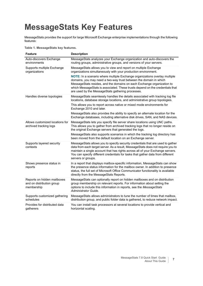# <span id="page-6-0"></span>**MessageStats Key Features**

MessageStats provides the support for large Microsoft Exchange enterprise implementations through the following features:

**Table 1. MessageStats key features.**

| <b>Feature</b>                                                         | <b>Description</b>                                                                                                                                                                                                                                                                                                                                              |
|------------------------------------------------------------------------|-----------------------------------------------------------------------------------------------------------------------------------------------------------------------------------------------------------------------------------------------------------------------------------------------------------------------------------------------------------------|
| Auto-discovers Exchange<br>environments                                | MessageStats analyzes your Exchange organization and auto-discovers the<br>routing groups, administrative groups, and versions of your servers.                                                                                                                                                                                                                 |
| Supports multiple Exchange<br>organizations                            | MessageStats allows you to view and report on multiple Exchange<br>organizations simultaneously with your production environment.                                                                                                                                                                                                                               |
|                                                                        | NOTE: In a scenario where multiple Exchange organizations overlay multiple<br>domains, you may need a two-way trust between the domain in which<br>MessageStats resides, and the domains on each Exchange organization to<br>which MessageStats is associated. These trusts depend on the credentials that<br>are used by the MessageStats gathering processes. |
| Handles diverse topologies                                             | MessageStats seamlessly handles the details associated with tracking log file<br>locations, database storage locations, and administrative group topologies.                                                                                                                                                                                                    |
|                                                                        | This allows you to report across native or mixed mode environments for<br>Exchange 2010 and later.                                                                                                                                                                                                                                                              |
|                                                                        | MessageStats also provides the ability to specify an alternate location for the<br>Exchange databases, including alternative disk drives, SAN, and NAS devices.                                                                                                                                                                                                 |
| Allows customized locations for<br>archived tracking logs              | MessageStats lets you specify file server share locations using UNC paths.<br>This allows you to gather from archived tracking logs that no longer reside on<br>the original Exchange servers that generated the logs.                                                                                                                                          |
|                                                                        | MessageStats also supports scenarios in which the tracking log directory has<br>been moved from the default location on an Exchange server.                                                                                                                                                                                                                     |
| Supports layered security<br>contexts                                  | MessageStats allows you to specify security credentials that are used to gather<br>data from each target server. As a result, MessageStats does not require you to<br>maintain a single account that has rights across all of your Exchange servers.<br>You can specify different credentials for tasks that gather data from different<br>servers or groups.   |
| Shows presence status in<br>reports                                    | In a report that displays mailbox-specific information, MessageStats can show<br>the presence status information for the mailbox owner. In addition to presence<br>status, the full set of Microsoft Office Communicator functionality is available<br>directly from the MessageStats Reports.                                                                  |
| Reports on hidden mailboxes<br>and on distribution group<br>membership | MessageStats can optionally report on hidden mailboxes and on distribution<br>group membership on relevant reports. For information about setting the<br>options to include this information in reports, see the MessageStats<br>Administrator Guide.                                                                                                           |
| Supports customized gathering<br>schedules                             | MessageStats allows administrators to tune the number of times that mailbox,<br>distribution group, and public folder data is gathered, to reduce network impact.                                                                                                                                                                                               |
| Provides for distributed data<br>gatherers                             | You can install task processors at several locations to provide vertical and<br>horizontal scaling.                                                                                                                                                                                                                                                             |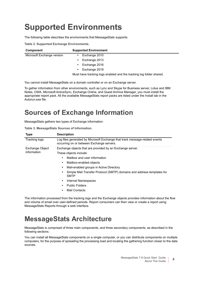# <span id="page-7-0"></span>**Supported Environments**

The following table describes the environments that MessageStats supports:

|  |  | Table 2. Supported Exchange Environments. |
|--|--|-------------------------------------------|

| <b>Component</b>           | <b>Supported Environment</b> |
|----------------------------|------------------------------|
| Microsoft Exchange version | Exchange 2010                |
|                            | Exchange 2013                |
|                            | Exchange 2016                |
|                            | Exchange 2019                |
|                            | .                            |

Must have tracking logs enabled and the tracking log folder shared.

You cannot install MessageStats on a domain controller or on an Exchange server.

To gather information from other environments, such as Lync and Skype for Business server, Lotus and IBM Notes, OWA, Microsoft ActiveSync, Exchange Online, and Quest Archive Manager, you must install the appropriate report pack. All the available MessageStats report packs are listed under the Install tab in the Autorun.exe file.

### <span id="page-7-1"></span>**Sources of Exchange Information**

MessageStats gathers two types of Exchange information:

|  |  | Table 3. MessageStats Sources of Information. |  |  |
|--|--|-----------------------------------------------|--|--|
|--|--|-----------------------------------------------|--|--|

| <b>Type</b>                    | <b>Description</b>                                                                                                                                                                                                                                                                                                                                              |  |
|--------------------------------|-----------------------------------------------------------------------------------------------------------------------------------------------------------------------------------------------------------------------------------------------------------------------------------------------------------------------------------------------------------------|--|
| <b>Tracking logs</b>           | Log files generated by Microsoft Exchange that track message-related events<br>occurring on or between Exchange servers.                                                                                                                                                                                                                                        |  |
| Exchange Object<br>information | Exchange objects that are provided by an Exchange server.<br>These objects include:<br>Mailbox and user information<br>Mailbox-enabled objects<br>Mail-enabled groups in Active Directory<br>Simple Mail Transfer Protocol (SMTP) domains and address templates for<br><b>SMTP</b><br>Internal Namespaces<br>٠<br><b>Public Folders</b><br><b>Mail Contacts</b> |  |

The information processed from the tracking logs and the Exchange objects provides information about the flow and volume of email over user-defined periods. Report consumers can then view or create a report using MessageStats Reports through a web interface.

### <span id="page-7-2"></span>**MessageStats Architecture**

MessageStats is comprised of three main components, and three secondary components, as described in the following sections.

You can install all MessageStats components on a single computer, or you can distribute components on multiple computers, for the purpose of spreading the processing load and locating the gathering function closer to the data sources.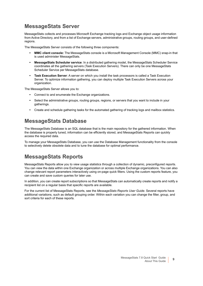### **MessageStats Server**

MessageStats collects and processes Microsoft Exchange tracking logs and Exchange object usage information from Active Directory, and from a list of Exchange servers, administrative groups, routing groups, and user-defined regions.

The MessageStats Server consists of the following three components:

- **MMC client console:** The MessageStats console is a Microsoft Management Console (MMC) snap-in that is used administer MessageStats.
- **MessageStats Scheduler service**: In a distributed gathering model, the MessageStats Scheduler Service coordinates all the gathering servers (Task Execution Servers). There can only be one MessageStats Scheduler Service per MessageStats database.
- **Task Execution Server**: A server on which you install the task processors is called a Task Execution Server. To optimize information gathering, you can deploy multiple Task Execution Servers across your organization.

The MessageStats Server allows you to:

- **•** Connect to and enumerate the Exchange organizations.
- **•** Select the administrative groups, routing groups, regions, or servers that you want to include in your gatherings.
- **•** Create and schedule gathering tasks for the automated gathering of tracking logs and mailbox statistics.

### **MessageStats Database**

The MessageStats Database is an SQL database that is the main repository for the gathered information. When the database is properly tuned, information can be efficiently stored, and MessageStats Reports can quickly access the required data.

To manage your MessageStats Database, you can use the Database Management functionality from the console to selectively delete obsolete data and to tune the database for optimal performance.

### **MessageStats Reports**

MessageStats Reports allow you to view usage statistics through a collection of dynamic, preconfigured reports. You can view the data within one Exchange organization or across multiple Exchange organizations. You can also change relevant report parameters interactively using on-page quick filters. Using the custom reports feature, you can create and save custom queries for later use.

In addition, you can create report subscriptions so that MessageStats can automatically create reports and notify a recipient list on a regular basis that specific reports are available.

For the current list of MessageStats Reports, see the *MessageStats Reports User Guide*. Several reports have additional variations, such as default grouping order. Within each variation you can change the filter, group, and sort criteria for each of these reports.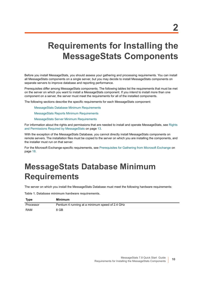# <span id="page-9-2"></span><span id="page-9-0"></span>**Requirements for Installing the MessageStats Components**

Before you install MessageStats, you should assess your gathering and processing requirements. You can install all MessageStats components on a single server, but you may decide to install MessageStats components on separate servers to improve database and reporting performance.

Prerequisites differ among MessageStats components. The following tables list the requirements that must be met on the server on which you want to install a MessageStats component. If you intend to install more than one component on a server, the server must meet the requirements for all of the installed components.

The following sections describe the specific requirements for each MessageStats component:

[MessageStats Database Minimum Requirements](#page-9-1)

[MessageStats Reports Minimum Requirements](#page-10-0)

[MessageStats Server Minimum Requirements](#page-11-0)

For information about the rights and permissions that are needed to install and operate MessageStats, see [Rights](#page-12-0)  [and Permissions Required by MessageStats on page 13](#page-12-0).

With the exception of the MessageStats Database, you cannot directly install MessageStats components on remote servers. The installation files must be copied to the server on which you are installing the components, and the installer must run on that server.

For the Microsoft Exchange-specific requirements, see [Prerequisites for Gathering from Microsoft Exchange on](#page-17-3)  [page 18](#page-17-3).

# <span id="page-9-3"></span><span id="page-9-1"></span>**MessageStats Database Minimum Requirements**

The server on which you install the MessageStats Database must meet the following hardware requirements:

**Table 1. Database minimum hardware requirements.**

| Type      | Minimum                                         |
|-----------|-------------------------------------------------|
| Processor | Pentium 4 running at a minimum speed of 2.4 GHz |
| RAM       | 8 GB                                            |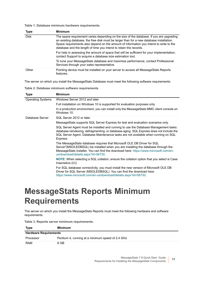**Table 1. Database minimum hardware requirements.**

| <b>Type</b> | <b>Minimum</b>                                                                                                                                                                                                                                                                                                                                      |
|-------------|-----------------------------------------------------------------------------------------------------------------------------------------------------------------------------------------------------------------------------------------------------------------------------------------------------------------------------------------------------|
| <b>Disk</b> | The space requirement varies depending on the size of the database. If you are upgrading<br>an existing database, the free disk must be larger than for a new database installation.<br>Space requirements also depend on the amount of information you intend to write to the<br>database and the length of time you intend to retain the records. |
|             | For help in assessing the amount of space that will be sufficient for your implementation,<br>contact Support to acquire a database size estimation tool.                                                                                                                                                                                           |
|             | To tune your MessageStats database and maximize performance, contact Professional<br>Services through your sales representative.                                                                                                                                                                                                                    |
| Other       | Pointing device must be installed on your server to access all MessageStats Reports<br>features.                                                                                                                                                                                                                                                    |

The server on which you install the MessageStats Database must meet the following software requirements:

**Table 2. Database minimum software requirements**

| <b>Type</b>              | <b>Minimum</b>                                                                                                                                                                                                                                                                              |
|--------------------------|---------------------------------------------------------------------------------------------------------------------------------------------------------------------------------------------------------------------------------------------------------------------------------------------|
| <b>Operating Systems</b> | Windows Server 2012 and later                                                                                                                                                                                                                                                               |
|                          | Full installation on Windows 10 is supported for evaluation purposes only.                                                                                                                                                                                                                  |
|                          | In a production environment, you can install only the MessageStats MMC client console on<br>Windows 10.                                                                                                                                                                                     |
| Database Server          | SQL Server 2012 or later.                                                                                                                                                                                                                                                                   |
|                          | MessageStats supports SQL Server Express for test and evaluation scenarios only.                                                                                                                                                                                                            |
|                          | SQL Server Agent must be installed and running to use the Database Management tasks:<br>database reindexing, defragmenting, or database aging. SQL Express does not include the<br>SQL Server Agent. Database Maintenance tasks are not available when running on SQL<br>Express.           |
|                          | The MessageStats database requires that Microsoft OLE DB Driver for SQL<br>Server"(MSOLEDBSQL) be installed when you are installing the database through the<br>MessageStats installer. You can find the download here: https://www.microsoft.com/en-<br>us/download/details.aspx?id=56730. |
|                          | <b>NOTE:</b> When selecting a SQL collation, ensure the collation option that you select is Case<br>Insensitive (CI).                                                                                                                                                                       |
|                          | For SQL database connectivity, you must install the new version of Microsoft OLE DB<br>Driver for SQL Server (MSOLEDBSQL). You can find the download here:<br>https://www.microsoft.com/en-us/download/details.aspx?id=56730.                                                               |

# <span id="page-10-1"></span><span id="page-10-0"></span>**MessageStats Reports Minimum Requirements**

The server on which you install the MessageStats Reports must meet the following hardware and software requirements:

| <b>Type</b>                  | Minimum                                          |
|------------------------------|--------------------------------------------------|
| <b>Hardware Requirements</b> |                                                  |
| Processor                    | Pentium 4, running at a minimum speed of 2.4 GHz |
| <b>RAM</b>                   | 8 GB                                             |

**Table 3. Reports server minimum requirements.**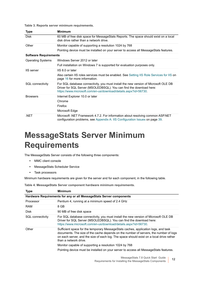**Table 3. Reports server minimum requirements.**

| <b>Type</b>                  | <b>Minimum</b>                                                                                                                                                                                                                |
|------------------------------|-------------------------------------------------------------------------------------------------------------------------------------------------------------------------------------------------------------------------------|
| <b>Disk</b>                  | 60 MB of free disk space for MessageStats Reports. The space should exist on a local<br>disk drive rather than a network drive.                                                                                               |
| Other                        | Monitor capable of supporting a resolution 1024 by 768                                                                                                                                                                        |
|                              | Pointing device must be installed on your server to access all MessageStats features.                                                                                                                                         |
| <b>Software Requirements</b> |                                                                                                                                                                                                                               |
| <b>Operating Systems</b>     | Windows Server 2012 or later                                                                                                                                                                                                  |
|                              | Full installation on Windows 7 is supported for evaluation purposes only.                                                                                                                                                     |
| <b>IIS</b> server            | IIS 8.0 or later                                                                                                                                                                                                              |
|                              | Also certain IIS roles services must be enabled. See Setting IIS Role Services for IIS on<br>page 16 for more information.                                                                                                    |
| SQL connectivity             | For SQL database connectivity, you must install the new version of Microsoft OLE DB<br>Driver for SQL Server (MSOLEDBSQL). You can find the download here:<br>https://www.microsoft.com/en-us/download/details.aspx?id=56730. |
| <b>Browsers</b>              | Internet Explorer 10.0 or later                                                                                                                                                                                               |
|                              | Chrome                                                                                                                                                                                                                        |
|                              | Firefox                                                                                                                                                                                                                       |
|                              | Microsoft Edge                                                                                                                                                                                                                |
| .NET                         | Microsoft .NET Framework 4.7.2. For information about resolving common ASP.NET<br>configuration problems, see Appendix A: IIS Configuration Issues on page 39.                                                                |

# <span id="page-11-1"></span><span id="page-11-0"></span>**MessageStats Server Minimum Requirements**

The MessageStats Server consists of the following three components:

- **•** MMC client console
- **•** MessageStats Scheduler Service
- **•** Task processors

Minimum hardware requirements are given for the server and for each component, in the following table.

**Table 4. MessageStats Server component hardware minimum requirements.**

| <b>Type</b>      | <b>Minimum</b>                                                                                                                                                                                                                                                                                                                                             |  |  |
|------------------|------------------------------------------------------------------------------------------------------------------------------------------------------------------------------------------------------------------------------------------------------------------------------------------------------------------------------------------------------------|--|--|
|                  | Hardware Requirements for any or all MessageStats Server components                                                                                                                                                                                                                                                                                        |  |  |
| Processor        | Pentium 4, running at a minimum speed of 2.4 GHz                                                                                                                                                                                                                                                                                                           |  |  |
| <b>RAM</b>       | 8 GB                                                                                                                                                                                                                                                                                                                                                       |  |  |
| <b>Disk</b>      | 90 MB of free disk space                                                                                                                                                                                                                                                                                                                                   |  |  |
| SQL connectivity | For SQL database connectivity, you must install the new version of Microsoft OLE DB<br>Driver for SQL Server (MSOLEDBSQL). You can find the download here:<br>https://www.microsoft.com/en-us/download/details.aspx?id=56730.                                                                                                                              |  |  |
| Other            | Sufficient space for the temporary MessageStats caches, application logs, and task<br>documents. The size of the cache depends on the number of servers, the number of logs<br>on each server, and the size of each log. The space should exist on a local drive rather<br>than a network drive.<br>Monitor capable of supporting a resolution 1024 by 768 |  |  |
|                  | Pointing device must be installed on your server to access all Message Stats features.                                                                                                                                                                                                                                                                     |  |  |
|                  |                                                                                                                                                                                                                                                                                                                                                            |  |  |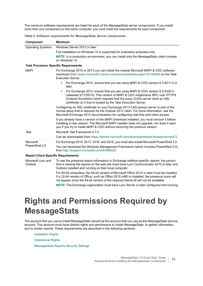The minimum software requirements are listed for each of the MessageStats server components. If you install more than one component on the same computer, you must meet the requirements for each component.

<span id="page-12-1"></span>

| <b>Component</b>                            | <b>Minimum</b>                                                                                                                                                                                                                                                                                                        |  |  |
|---------------------------------------------|-----------------------------------------------------------------------------------------------------------------------------------------------------------------------------------------------------------------------------------------------------------------------------------------------------------------------|--|--|
| <b>Operating Systems</b>                    | Windows Server 2012 or later                                                                                                                                                                                                                                                                                          |  |  |
|                                             | Full installation on Windows 10 is supported for evaluation purposes only.                                                                                                                                                                                                                                            |  |  |
|                                             | NOTE: In a production environment, you can install only the MessageStats client console<br>on Windows 10.                                                                                                                                                                                                             |  |  |
| <b>Task Processor Specific Requirements</b> |                                                                                                                                                                                                                                                                                                                       |  |  |
| <b>MAPI</b>                                 | For Exchange 2010 or 2013 you can install the newest Microsoft MAPI & CDO software<br>download (http://www.microsoft.com/en-us/download/details.aspx?id=39045) on the Task<br><b>Execution Server.</b>                                                                                                                |  |  |
|                                             | For Exchange 2010, ensure that you are using MAPI & CDO version 6.5.8211.0 or<br>٠<br>later.                                                                                                                                                                                                                          |  |  |
|                                             | For Exchange 2013, ensure that you are using MAPI & CDO version 6.5.8320.0<br>$\bullet$<br>(released 5/17/2013). This version of MAPI & CDO implements RPC over HTTPS<br>(Outlook Anywhere) which requires that the proxy (CAS) server have an SSL<br>certificate on it that is trusted by the Task Execution Server. |  |  |
|                                             | Configuring an SSL certificate on your Exchange 2013 CAS (proxy) server is part of the<br>normal setup that is required for the Outlook 2013 client. For more information, see the<br>Microsoft Exchange 2013 documentation for configuring mail flow and client access.                                              |  |  |
|                                             | If you already have a version of the MAPI Download installed, you must remove it before<br>installing a new version. The Microsoft MAPI installer does not upgrade, nor does it warn<br>you if you try to install MAPI & CDO without removing the previous version.                                                   |  |  |
| .Net                                        | Microsoft .Net Framework 4.7.2                                                                                                                                                                                                                                                                                        |  |  |
|                                             | Can be downloaded from https://dotnet.microsoft.com/download/dotnet-framework/net472                                                                                                                                                                                                                                  |  |  |
| Microsoft                                   | For Exchange 2010, 2013, 2016, and 2019, you must also install Microsoft PowerShell 2.0.                                                                                                                                                                                                                              |  |  |
| PowerShell 2.0                              | You can download the Windows Management Framework (which includes PowerShell 2.0)<br>from http://support.microsoft.com/kb/968929.                                                                                                                                                                                     |  |  |
| <b>Report Client Specific Requirements</b>  |                                                                                                                                                                                                                                                                                                                       |  |  |
| Microsoft Lync and<br>Outlook               | To see the presence status information in Exchange mailbox-specific reports, the person<br>that is viewing the reports on the web site must have Lync Communicator 2010 or later and<br>Outlook installed and running on their local computer.                                                                        |  |  |

**Table 5. Software requirements for MessageStats Server components.**

For 64-bit computers, the 64-bit version of Microsoft Office 2010 or later must be installed. If a 32-bit version of Office, such as Office 2010 (x86) is installed, the presence icons will not appear since the 64-bit version of the required Name.dll will not be available.

**NOTE:** The Exchange organization must have Lync Server or later configured and running.

# <span id="page-12-0"></span>**Rights and Permissions Required by MessageStats**

The account that you use to install MessageStats should be the account that you use as the MessageStats service account. This account must have distinct rights and permissions to install MessageStats, to gather information, and to render reports. These requirements are described in the following sections:

[Installation Rights](#page-13-0)

[Operational Rights](#page-14-0)

[MessageStats Reports Security Settings](#page-15-0)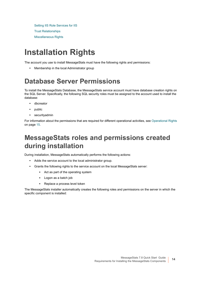[Setting IIS Role Services for IIS](#page-15-1) [Trust Relationships](#page-16-1) [Miscellaneous Rights](#page-16-2)

# <span id="page-13-3"></span><span id="page-13-0"></span>**Installation Rights**

The account you use to install MessageStats must have the following rights and permissions:

**•** Membership in the local Administrator group

## <span id="page-13-1"></span>**Database Server Permissions**

To install the MessageStats Database, the MessageStats service account must have database creation rights on the SQL Server. Specifically, the following SQL security roles must be assigned to the account used to install the database:

- **•** dbcreator
- **•** public
- **•** securityadmin

For information about the permissions that are required for different operational activities, see [Operational Rights](#page-14-0) [on page 15.](#page-14-0)

### <span id="page-13-2"></span>**MessageStats roles and permissions created during installation**

During installation, MessageStats automatically performs the following actions:

- **•** Adds the service account to the local administrator group.
- **•** Grants the following rights to the service account on the local MessageStats server:
	- **▪** Act as part of the operating system
	- **▪** Logon as a batch job
	- **▪** Replace a process level token

The MessageStats installer automatically creates the following roles and permissions on the server in which the specific component is installed: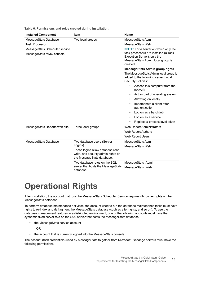**Table 6. Permissions and roles created during installation.**

| <b>Installed Component</b>                                 | <b>Item</b>                                                                                                                                     | <b>Name</b>                                                                                                                                                                                                                                                           |
|------------------------------------------------------------|-------------------------------------------------------------------------------------------------------------------------------------------------|-----------------------------------------------------------------------------------------------------------------------------------------------------------------------------------------------------------------------------------------------------------------------|
| MessageStats Database                                      | Two local groups                                                                                                                                | MessageStats Admin                                                                                                                                                                                                                                                    |
| <b>Task Processor</b>                                      |                                                                                                                                                 | MessageStats Web                                                                                                                                                                                                                                                      |
| MessageStats Scheduler service<br>MessageStats MMC console |                                                                                                                                                 | NOTE: For a server on which only the<br>task processors are installed (a Task<br>Execution Server), only the<br>MessageStats Admin local group is<br>created.                                                                                                         |
|                                                            |                                                                                                                                                 | <b>MessageStats Admin group rights</b>                                                                                                                                                                                                                                |
|                                                            |                                                                                                                                                 | The MessageStats Admin local group is<br>added to the following server Local<br><b>Security Policies:</b><br>Access this computer from the<br>network<br>Act as part of operating system<br>٠<br>Allow log on locally<br>Impersonate a client after<br>authentication |
|                                                            |                                                                                                                                                 | Log on as a batch job                                                                                                                                                                                                                                                 |
|                                                            |                                                                                                                                                 | Log on as a service<br>٠                                                                                                                                                                                                                                              |
|                                                            |                                                                                                                                                 | Replace a process level token                                                                                                                                                                                                                                         |
| MessageStats Reports web site                              | Three local groups                                                                                                                              | Web Report Administrators<br>Web Report Authors<br>Web Report Users                                                                                                                                                                                                   |
| MessageStats Database                                      | Two database users (Server<br>Logins)<br>These logins allow database read,<br>write, and security admin rights on<br>the MessageStats database. | MessageStats Admin<br>MessageStats Web                                                                                                                                                                                                                                |
|                                                            | Two database roles on the SQL<br>server that hosts the MessageStats<br>database                                                                 | MessageStats Admin<br>MessageStats Web                                                                                                                                                                                                                                |

# <span id="page-14-0"></span>**Operational Rights**

After installation, the account that runs the MessageStats Scheduler Service requires db owner rights on the MessageStats database.

To perform database maintenance activities, the account used to run the database maintenance tasks must have rights to re-index and defragment the MessageStats database (such as alter rights, and so on). To use the database management features in a distributed environment, one of the following accounts must have the sysadmin fixed server role on the SQL server that hosts the MessageStats database:

- **•** the MessageStats service account
	- OR -
- **•** the account that is currently logged into the MessageStats console

The account (task credentials) used by MessageStats to gather from Microsoft Exchange servers must have the following permissions: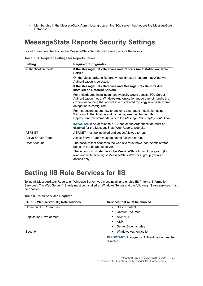**•** Membership in the MessageStats Admin local group on the SQL server that houses the MessageStats Database

### <span id="page-15-0"></span>**MessageStats Reports Security Settings**

For all IIS servers that house the MessageStats Reports web server, ensure the following:

**Table 7. IIS Required Settings for Reports Server.**

| <b>Setting</b>             | <b>Required Configuration</b>                                                                                                                                                                                                                         |
|----------------------------|-------------------------------------------------------------------------------------------------------------------------------------------------------------------------------------------------------------------------------------------------------|
| Authentication mode        | If the MessageStats Database and Reports Are Installed on Same<br><b>Server</b>                                                                                                                                                                       |
|                            | On the MessageStats Reports virtual directory, ensure that Windows<br>Authentication is selected.                                                                                                                                                     |
|                            | If the MessageStats Database and MessageStats Reports Are<br><b>Installed on Different Servers</b>                                                                                                                                                    |
|                            | For a distributed installation, you typically would specify SQL Server<br>Authentication mode. Windows Authentication mode cannot handle the<br>credential hopping that occurs in a distributed topology unless Kerberos<br>delegation is configured. |
|                            | For instructions about how to deploy a distributed installation using<br>Windows Authentication and Kerberos, see the chapter titled<br>Deployment Recommendations in the MessageStats Deployment Guide.                                              |
|                            | <b>IMPORTANT:</b> As of release 7.7, Anonymous Authentication must be<br>disabled for the MessageStats Web Reports web site.                                                                                                                          |
| <b>ASPNFT</b>              | ASP NFT must be installed and set as Allowed to run.                                                                                                                                                                                                  |
| <b>Active Server Pages</b> | Active Server Pages must be set as Allowed to run.                                                                                                                                                                                                    |
| User Account               | The account that accesses the web site must have local Administrator<br>rights on the database server.                                                                                                                                                |
|                            | The account must also be in the MessageStats Admin local group (for<br>read and write access) or MessageStats Web local group (for read<br>access only).                                                                                              |

## <span id="page-15-2"></span><span id="page-15-1"></span>**Setting IIS Role Services for IIS**

To install MessageStats Reports on Windows Server, you must install and enable IIS (Internet Information Services). The Web Server (IIS) role must be installed on Windows Server and the following IIS role services must be enabled:

**Table 8. Roles Services Required**

| IIS 7.0 - Web server (IIS) Role services | Services that must be enabled                                   |
|------------------------------------------|-----------------------------------------------------------------|
| <b>Common HTTP Features</b>              | <b>Static Content</b><br>$\bullet$                              |
|                                          | Default Document<br>$\bullet$                                   |
| Application Development                  | <b>ASPNFT</b><br>$\bullet$                                      |
|                                          | ASP<br>$\bullet$                                                |
|                                          | Server Side Includes<br>$\bullet$                               |
| Security                                 | Windows Authentication<br>$\bullet$                             |
|                                          | <b>IMPORTANT:</b> Anonymous Authentication must be<br>disabled. |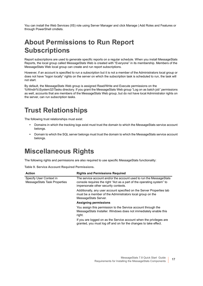You can install the Web Services (IIS) role using Server Manager and click Manage | Add Roles and Features or through PowerShell cmdlets.

## <span id="page-16-0"></span>**About Permissions to Run Report Subscriptions**

Report subscriptions are used to generate specific reports on a regular schedule. When you install MessageStats Reports, the local group called MessageStats Web is created with "Everyone" in its membership. Members of the MessageStats Web local group can create and run report subscriptions.

However, if an account is specified to run a subscription but it is not a member of the Administrators local group or does not have "logon locally" rights on the server on which the subscription task is scheduled to run, the task will not start.

By default, the MessageStats Web group is assigned Read/Write and Execute permissions on the %Windir%\System32\Tasks directory. If you grant the MessageStats Web group "Log on as batch job" permissions as well, accounts that are members of the MessageStats Web group, but do not have local Administrator rights on the server, can run subscription tasks.

### <span id="page-16-1"></span>**Trust Relationships**

The following trust relationships must exist:

- **•** Domains in which the tracking logs exist must trust the domain to which the MessageStats service account belongs.
- **•** Domain to which the SQL server belongs must trust the domain to which the MessageStats service account belongs.

### <span id="page-16-2"></span>**Miscellaneous Rights**

The following rights and permissions are also required to use specific MessageStats functionality:

**Table 9. Service Account Required Permissions.**

| <b>Action</b>                                                  | <b>Rights and Permissions Required</b>                                                                                                                                               |
|----------------------------------------------------------------|--------------------------------------------------------------------------------------------------------------------------------------------------------------------------------------|
| Specify User Context in<br><b>MessageStats Task Properties</b> | The service account and/or the account used to run the MessageStats<br>console requires the right "Act as a part of the operating system" to<br>impersonate other security contexts. |
|                                                                | Additionally, any user account specified on the Server Properties tab<br>must be a member of the Administrators local group on the<br>MessageStats Server.                           |
|                                                                | <b>Assigning permissions</b>                                                                                                                                                         |
|                                                                | You assign this permission to the Service account through the<br>MessageStats Installer. Windows does not immediately enable this<br>right.                                          |
|                                                                | If you are logged on as the Service account when the privileges are<br>granted, you must log off and on for the changes to take effect.                                              |
|                                                                |                                                                                                                                                                                      |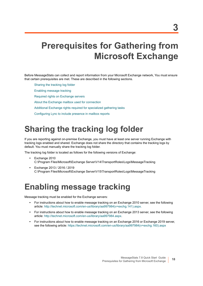# <span id="page-17-3"></span><span id="page-17-0"></span>**Prerequisites for Gathering from Microsoft Exchange**

Before MessageStats can collect and report information from your Microsoft Exchange network, You must ensure that certain prerequisites are met. These are described in the following sections.

- [Sharing the tracking log folder](#page-17-1)
- [Enabling message tracking](#page-17-2)
- [Required rights on Exchange servers](#page-18-0)
- [About the Exchange mailbox used for connection](#page-20-0)
- [Additional Exchange rights required for specialized gathering tasks](#page-21-0)
- [Configuring Lync to include presence in mailbox reports](#page-23-1)

## <span id="page-17-1"></span>**Sharing the tracking log folder**

If you are reporting against on-premise Exchange, you must have at least one server running Exchange with tracking logs enabled and shared. Exchange does not share the directory that contains the tracking logs by default. You must manually share the tracking log folder.

The tracking log folder is located as follows for the following versions of Exchange:

- **•** Exchange 2010 C:\Program Files\Microsoft\Exchange Server\V14\TransportRoles\Logs\MessageTracking
- **•** Exchange 2013 / 2016 / 2019 C:\Program Files\Microsoft\Exchange Server\V15\TransportRoles\Logs\MessageTracking

## <span id="page-17-2"></span>**Enabling message tracking**

Message tracking must be enabled for the Exchange servers:

- **•** [For instructions about how to enable message tracking on an Exchange 2010 server, see the following](http://technet.microsoft.com/en-us/library/aa997984(v=exchg.141).aspx)  [article: h](http://technet.microsoft.com/en-us/library/aa997984(v=exchg.141).aspx)ttp://technet.microsoft.com/en-us/library/aa997984(v=exchg.141).aspx.
- **•** For instructions about how to enable message tracking on an Exchange 2013 server, see the following article: <http://technet.microsoft.com/en-us/library/aa997984.aspx>.
- **•** For instructions about how to enable message tracking on an Exchange 2016 or Exchange 2019 server, see the following article: [https://technet.microsoft.com/en-us/library/aa997984\(v=exchg.160\).aspx](https://technet.microsoft.com/en-us/library/aa997984(v=exchg.160).aspx)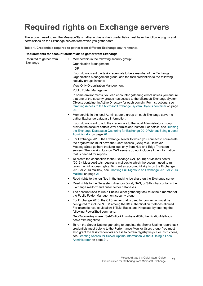# <span id="page-18-0"></span>**Required rights on Exchange servers**

The account used to run the MessageStats gathering tasks (task credentials) must have the following rights and permissions on the Exchange servers from which you gather data.

**Table 1. Credentials required to gather from different Exchange environments.**

#### **Requirements for account credentials to gather from Exchange**

| Required to gather from | $\bullet$ | Membership in the following security group:                                                                                                                                                                                                                                                                                                             |
|-------------------------|-----------|---------------------------------------------------------------------------------------------------------------------------------------------------------------------------------------------------------------------------------------------------------------------------------------------------------------------------------------------------------|
| Exchange                |           | Organization Management                                                                                                                                                                                                                                                                                                                                 |
|                         |           | $-OR -$                                                                                                                                                                                                                                                                                                                                                 |
|                         |           | If you do not want the task credentials to be a member of the Exchange<br>Organization Management group, add the task credentials to the following<br>security groups instead:                                                                                                                                                                          |
|                         |           | View-Only Organization Management                                                                                                                                                                                                                                                                                                                       |
|                         |           | <b>Public Folder Management</b>                                                                                                                                                                                                                                                                                                                         |
|                         |           | In some environments, you can encounter gathering errors unless you ensure<br>that one of the security groups has access to the Microsoft Exchange System<br>Objects container in Active Directory for each domain. For instructions, see<br>Granting Access to the Microsoft Exchange System Objects container on page<br>20.                          |
|                         |           | Membership in the local Administrators group on each Exchange server to<br>gather Exchange database information.                                                                                                                                                                                                                                        |
|                         |           | If you do not want to add the credentials to the local Administrators group,<br>provide the account certain WMI permissions instead. For details, see Running<br>the Exchange Databases Gathering for Exchange 2010 Without Being a Local<br>Administrator on page 20.                                                                                  |
|                         |           | For Exchange 2010, the Exchange server to which you connect to enumerate<br>the organization must have the Client Access (CAS) role. However,<br>MessageStats gathers tracking logs only from Hub and Edge Transport<br>servers. The tracking logs on CAS servers do not include all the information<br>that is needed for reports.                     |
|                         | $\bullet$ | To create the connection to the Exchange CAS (2010) or Mailbox server<br>(2013), MessageStats requires a mailbox to which the account used to run<br>tasks has full access rights. To grant an account full rights on the Exchange<br>2010 or 2013 mailbox, see Granting Full Rights to an Exchange 2010 or 2013<br>Mailbox on page 21.                 |
|                         | ٠         | Read rights to the log files in the tracking log share on the Exchange server.                                                                                                                                                                                                                                                                          |
|                         |           | Read rights to the file system directory (local, NAS, or SAN) that contains the<br>Exchange mailbox and public folder databases.                                                                                                                                                                                                                        |
|                         |           | The account used to run a Public Folder gathering task must be a member of<br>the Public Folder Management security group.                                                                                                                                                                                                                              |
|                         |           | For Exchange 2013, the CAS server that is used for connection must be<br>configured to include NTLM among the IIS authentication methods allowed.<br>For example, you could allow NTLM, Basic, and Negotiate by entering the<br>following PowerShell command:                                                                                           |
|                         |           | Get-OutlookAnywhere   Set-OutlookAnywhere -IISAuthenticationMethods<br>basic, ntlm, negotiate                                                                                                                                                                                                                                                           |
|                         | $\bullet$ | To run the Server Uptime gathering to populate the Server Uptime report, task<br>credentials must belong to the Performance Monitor Users group. You must<br>also grant the task credentials access to certain registry keys. For instructions,<br>see Granting Access for Server Uptime Information Without Being a Local<br>Administrator on page 21. |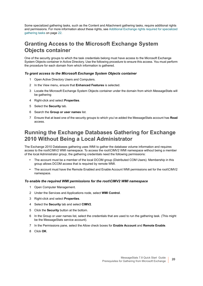Some specialized gathering tasks, such as the Content and Attachment gathering tasks, require additional rights and permissions. For more information about these rights, see [Additional Exchange rights required for specialized](#page-21-0)  [gathering tasks on page 22](#page-21-0).

### <span id="page-19-0"></span>**Granting Access to the Microsoft Exchange System Objects container**

One of the security groups to which the task credentials belong must have access to the Microsoft Exchange System Objects container in Active Directory. Use the following procedure to ensure this access. You must perform the procedure for each domain from which information is gathered.

### *To grant access to the Microsoft Exchange System Objects container*

- 1 Open Active Directory Users and Computers.
- 2 In the View menu, ensure that **Enhanced Features** is selected.
- 3 Locate the Microsoft Exchange System Objects container under the domain from which MessageStats will be gathering
- 4 Right-click and select **Properties**.
- 5 Select the **Security** tab.
- 6 Search the **Group or user names** list.
- 7 Ensure that at least one of the security groups to which you've added the MessageStats account has **Read** access.

### <span id="page-19-1"></span>**Running the Exchange Databases Gathering for Exchange 2010 Without Being a Local Administrator**

The Exchange 2010 Databases gathering uses WMI to gather the database volume information and requires access to the root\CIMV2 WMI namespace. To access the root\CIMV2 WMI namespace without being a member of the local Administrator group, the gathering credentials need the following permissions:

- **•** The account must be a member of the local DCOM group (Distributed COM Users). Membership in this group allows DCOM access that is required by remote WMI.
- **•** The account must have the Remote Enabled and Enable Account WMI permissions set for the root\CIMV2 namespace.

### *To enable the required WMI permissions for the root\CIMV2 WMI namespace*

- 1 Open Computer Management.
- 2 Under the Services and Applications node, select **WMI Control**.
- 3 Right-click and select **Properties**.
- 4 Select the **Security** tab and select **CIMV2**.
- 5 Click the **Security** button at the bottom.
- 6 In the Group or user names list, select the credentials that are used to run the gathering task. (This might be the MessageStats service account).
- 7 In the Permissions pane, select the Allow check boxes for **Enable Account** and **Remote Enable**.
- 8 Click **OK**.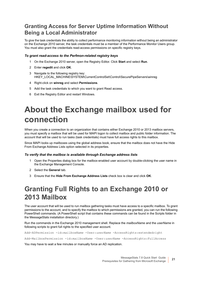### <span id="page-20-2"></span>**Granting Access for Server Uptime Information Without Being a Local Administrator**

To give the task credentials the ability to collect performance monitoring information without being an administrator on the Exchange 2010 server, the task credentials must be a member of the Performance Monitor Users group. You must also grant the credentials read-access permissions on specific registry keys.

### *To grant read-access to the Perfmon-related registry keys*

- 1 On the Exchange 2010 server, open the Registry Editor. Click **Start** and select **Run**.
- 2 Enter **regedit** and click **OK**.
- 3 Navigate to the following registry key: HKEY\_LOCAL\_MACHINE\SYSTEM\CurrentControlSet\Control\SecurePipeServers\winreg
- 4 Right-click on **winreg** and select **Permissions**.
- 5 Add the task credentials to which you want to grant Read access.
- 6 Exit the Registry Editor and restart Windows.

# <span id="page-20-0"></span>**About the Exchange mailbox used for connection**

When you create a connection to an organization that contains either Exchange 2010 or 2013 mailbox servers, you must specify a mailbox that will be used for MAPI logon to collect mailbox and public folder information. The account that will be used to run tasks (task credentials) must have full access rights to this mailbox.

Since MAPI looks up mailboxes using the global address book, ensure that the mailbox does not have the Hide From Exchange Address Lists option selected in its properties.

### *To verify that the mailbox is available through Exchange address lists*

- 1 Open the Properties dialog box for the mailbox-enabled user account by double-clicking the user name in the Exchange Management Console.
- 2 Select the **General** tab.
- 3 Ensure that the **Hide From Exchange Address Lists** check box is clear and click **OK**.

### <span id="page-20-1"></span>**Granting Full Rights to an Exchange 2010 or 2013 Mailbox**

The user account that will be used to run mailbox gathering tasks must have access to a specific mailbox. To grant permissions to the account, and to specify the mailbox to which permissions are granted, you can run the following PowerShell commands. (A PowerShell script that contains these commands can be found in the Scripts folder in the MessageStats installation directory.)

Run the commands in the Exchange 2010 management shell. Replace the *mailboxName* and the *userName* in following scripts to grant full rights to the specified user account.

Add-ADPermission -id:*mailboxName* -User:*userName* -AccessRights:extendedright

Add-MailboxPermission -id:*mailboxName* -User:*userName* -AccessRights:FullAccess

You may have to wait a few minutes or manually force an AD replication.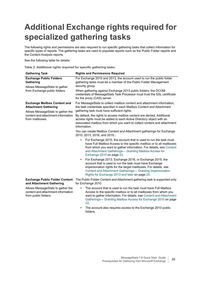# <span id="page-21-0"></span>**Additional Exchange rights required for specialized gathering tasks**

The following rights and permissions are also required to run specific gathering tasks that collect information for specific types of reports. The gathering tasks are used to populate reports such as the Public Folder reports and the Content Analysis reports.

See the following table for details:

**Table 2. Additional rights required for specific gathering tasks.**

| <b>Gathering Task</b>                                                                                   | <b>Rights and Permissions Required</b>                                                                                                                                                                                                                                                                              |  |  |
|---------------------------------------------------------------------------------------------------------|---------------------------------------------------------------------------------------------------------------------------------------------------------------------------------------------------------------------------------------------------------------------------------------------------------------------|--|--|
| <b>Exchange Public Folders</b><br>Gathering<br>Allows MessageStats to gather                            | For Exchange 2010 and 2013, the account used to run the public folder<br>gathering tasks must be a member of the Public Folder Management<br>security group.                                                                                                                                                        |  |  |
| from Exchange public folders                                                                            | When gathering against Exchange 2013 public folders, the DCOM<br>credentials of MessageStats Task Processor must trust the SSL certificate<br>for the proxy (CAS) server.                                                                                                                                           |  |  |
| <b>Exchange Mailbox Content and</b><br><b>Attachment Gathering</b><br>Allows MessageStats to gather the | For MessageStats to collect mailbox content and attachment information,<br>the task credentials specified in each Mailbox Content and Attachment<br>gathering task must have sufficient rights.                                                                                                                     |  |  |
| content and attachment information<br>from mailboxes.                                                   | By default, the rights to access mailbox content are denied. Additional<br>access rights must be added to each Active Directory object with an<br>associated mailbox from which you want to collect content and attachment<br>information.                                                                          |  |  |
|                                                                                                         | You can create Mailbox Content and Attachment gatherings for Exchange<br>2010, 2013, 2016, and 2019.:                                                                                                                                                                                                               |  |  |
|                                                                                                         | For Exchange 2010, the account that is used to run the task must<br>$\bullet$<br>have Full Mailbox Access to the specific mailbox or to all mailboxes<br>from which you want to gather information. For details, see Content<br>and Attachment Gatherings- Granting Mailbox Access for<br>Exchange 2010 on page 23. |  |  |
|                                                                                                         | For Exchange 2013, Exchange 2016, or Exchange 2019, the<br>$\bullet$<br>account that is used to run the task must have Exchange<br>impersonation rights for the target mailboxes. For details, see<br>Content and Attachment Gatherings- Granting Impersonation<br>Rights for Exchange 2013 and later on page 23.   |  |  |
| <b>Exchange Public Folder Content</b><br>and Attachment Gathering                                       | The Public Folder Content and Attachment gathering task is supported only<br>for Exchange 2010.                                                                                                                                                                                                                     |  |  |
| Allows MessageStats to gather the<br>content and attachment information<br>from public folders.         | The account that is used to run the task must have Full Mailbox<br>Access to the specific mailbox or to all mailboxes from which you<br>want to gather information. For details, see Content and Attachment<br>Gatherings- Granting Mailbox Access for Exchange 2010 on page<br>23.                                 |  |  |
|                                                                                                         | The account also requires access to the Exchange 2010 public<br>folders.                                                                                                                                                                                                                                            |  |  |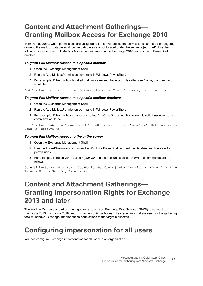## <span id="page-22-0"></span>**Content and Attachment Gatherings— Granting Mailbox Access for Exchange 2010**

In Exchange 2010, when permissions are assigned to the server object, the permissions cannot be propagated down to the mailbox databases since the databases are not located under the server object in AD. Use the following steps to grant Full Mailbox Access to mailboxes on the Exchange 2010 servers using PowerShell cmdlets.

### *To grant Full Mailbox Access to a specific mailbox*

- 1 Open the Exchange Management Shell.
- 2 Run the Add-MailboxPermission command in Windows PowerShell.
- 3 For example, if the mailbox is called mailboxName and the account is called userName, the command would be:

Add-MailboxPermission -id:*mailboxName* -User:*userName* -AccessRights FullAccess

### *To grant Full Mailbox Access to a specific mailbox database*

- 1 Open the Exchange Management Shell.
- 2 Run the Add-MailboxPermission command in Windows PowerShell.
- 3 For example, if the mailbox database is called *DatabaseName* and the account is called *userName*, the command would be:

Get-MailboxDatabase *Databasename* | Add-ADPermission -User "*userName*" -ExtendedRights Send-As, Receive-As

### *To grant Full Mailbox Access to the entire server*

- 1 Open the Exchange Management Shell.
- 2 Use the Add-ADPermission command in Windows PowerShell to grant the Send-As and Receive-As permissions.
- 3 For example, if the server is called *MyServer* and the account is called *UserA*, the commands are as follows:

```
Get-MailboxServer Myserver | Get-MailboxDatabase | Add-ADPermission -User "UserA" -
ExtendedRights Send-As, Receive-As
```
### <span id="page-22-1"></span>**Content and Attachment Gatherings— Granting Impersonation Rights for Exchange 2013 and later**

The Mailbox Contents and Attachment gathering task uses Exchange Web Services (EWS) to connect to Exchange 2013, Exchange 2016, and Exchange 2019 mailboxes. The credentials that are used for the gathering task must have Exchange Impersonation permissions to the target mailboxes.

## <span id="page-22-2"></span>**Configuring impersonation for all users**

You can configure Exchange impersonation for all users in an organization.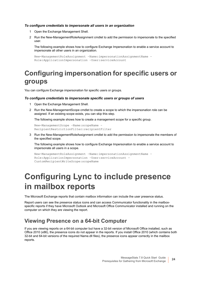#### *To configure credentials to impersonate all users in an organization*

- 1 Open the Exchange Management Shell.
- 2 Run the New-ManagementRoleAssignment cmdlet to add the permission to impersonate to the specified user.

The following example shows how to configure Exchange Impersonation to enable a service account to impersonate all other users in an organization.

```
New-ManagementRoleAssignment –Name:impersonationAssignmentName –
Role:ApplicationImpersonation –User:serviceAccount
```
### <span id="page-23-0"></span>**Configuring impersonation for specific users or groups**

You can configure Exchange impersonation for specific users or groups.

#### *To configure credentials to impersonate specific users or groups of users*

- 1 Open the Exchange Management Shell.
- 2 Run the New-ManagementScope cmdlet to create a scope to which the impersonation role can be assigned. If an existing scope exists, you can skip this step.

The following example shows how to create a management scope for a specific group.

```
New-ManagementScope –Name:scopeName –
RecipientRestrictionFilter:recipientFilter
```
3 Run the New-ManagementRoleAssignment cmdlet to add the permission to impersonate the members of the specified scope.

The following example shows how to configure Exchange Impersonation to enable a service account to impersonate all users in a scope.

```
New-ManagementRoleAssignment –Name:impersonationAssignmentName –
Role:ApplicationImpersonation –User:serviceAccount –
CustomRecipientWriteScope:scopeName
```
# <span id="page-23-1"></span>**Configuring Lync to include presence in mailbox reports**

The Microsoft Exchange reports that contain mailbox information can include the user presence status.

Report users can see the presence status icons and can access Communicator functionality in the mailboxspecific reports if they have Microsoft Outlook and Microsoft Office Communicator installed and running on the computer on which they are viewing the report.

### **Viewing Presence on a 64-bit Computer**

If you are viewing reports on a 64-bit computer but have a 32-bit version of Microsoft Office installed, such as Office 2010 (x86), the presence icons do not appear in the reports. If you install Office 2010 (which contains both 32-bit and 64-bit versions of the required Name.dll files), the presence icons appear correctly in the mailbox reports.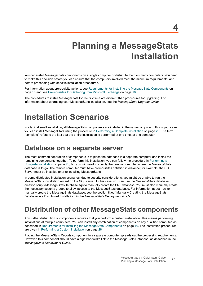# **Planning a MessageStats Installation**

<span id="page-24-0"></span>You can install MessageStats components on a single computer or distribute them on many computers. You need to make this decision before you can ensure that the computers involved meet the minimum requirements, and before proceeding with specific installation procedures.

For information about prerequisite actions, see [Requirements for Installing the MessageStats Components on](#page-9-2)  [page 10](#page-9-2) and see [Prerequisites for Gathering from Microsoft Exchange on page 18](#page-17-3).

The procedures to install MessageStats for the first time are different than procedures for upgrading. For information about upgrading your MessageStats installation, see the *MessageStats Upgrade Guide*.

# <span id="page-24-1"></span>**Installation Scenarios**

In a typical small installation, all MessageStats components are installed in the same computer. If this is your case, you can install MessageStats using the procedure in [Performing a Complete Installation on page 26.](#page-25-0) The term "complete" refers to the fact that the entire installation is performed at one time, at one computer.

### <span id="page-24-2"></span>**Database on a separate server**

The most common separation of components is to place the database in a separate computer and install the remaining components together. To perform this installation, you can follow the procedure in [Performing a](#page-25-0)  [Complete Installation on page 26](#page-25-0), but you will need to specify the remote computer where the MessageStats database is to go. The remote computer must have prerequisites satisfied in advance; for example, the SQL Server must be installed prior to installing MessageStats.

In some distributed installation scenarios, due to security considerations, you might be unable to run the MessageStats installation wizard on the SQL server. In this case, you can use the MessageStats database creation script (MessageStatsDatabase.sql) to manually create the SQL database. You must also manually create the necessary security groups to allow access to the MessageStats database. For information about how to manually create the MessageStats database, see the section titled "Manually Creating the MessageStats Database in a Distributed Installation" in the *MessageStats Deployment Guide*.

### <span id="page-24-3"></span>**Distribution of other MessageStats components**

Any further distribution of components requires that you perform a custom installation. This means performing installations at multiple computers. You can install any combination of components on any qualified computer, as described in [Requirements for Installing the MessageStats Components on page 10](#page-9-2). The installation procedures are given in [Performing a Custom Installation on page 28.](#page-27-0)

Placing the MessageStats Reports component in a separate computer spreads out the processing requirements. However, this component should have a high bandwidth link to the MessageStats Database, as described in the *MessageStats Deployment Guide*.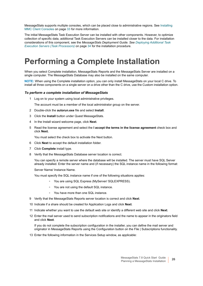MessageStats supports multiple consoles, which can be placed close to administrative regions. See [Installing](#page-32-0)  [MMC Client Consoles on page 33](#page-32-0) for more information.

The initial MessageStats Task Execution Server can be installed with other components. However, to optimize collection of specific data, additional Task Execution Servers can be installed closer to the data. For installation considerations of this component, see the *MessageStats Deployment Guide. See [Deploying Additional Task](#page-33-0)  [Execution Servers \(Task Processors\)](#page-33-0)* on page 34 for the installation procedure.

# <span id="page-25-0"></span>**Performing a Complete Installation**

When you select Complete installation, MessageStats Reports and the MessageStats Server are installed on a single computer. The MessageStats Database may also be installed on the same computer.

**NOTE:** When using the Complete installation option, you can only install MessageStats on your local C drive. To install all three components on a single server on a drive other than the C drive, use the Custom installation option.

#### *To perform a complete installation of MessageStats*

1 Log on to your system using local administrative privileges.

The account must be a member of the local administrator group on the server.

- 2 Double-click the **autorun.exe** file and select **Install**.
- 3 Click the **Install** button under Quest MessageStats.
- 4 In the Install wizard welcome page, click **Next**.
- 5 Read the license agreement and select the **I accept the terms in the license agreement** check box and click **Next.**

You must select the check box to activate the Next button.

- 6 Click **Next** to accept the default installation folder.
- 7 Click **Complete** install type.
- 8 Verify that the MessageStats Database server location is correct.

You can specify a remote server where the database will be installed. The server must have SQL Server already installed. Enter the server name and (if necessary) the SQL instance name in the following format:

Server Name/ Instance Name.

You must specify the SQL instance name if one of the following situations applies:

- **▫** You are using SQL Express (MyServer/ SQLEXPRESS).
- **▫** You are not using the default SQL instance.
- **▫** You have more than one SQL instance.
- 9 Verify that the MessageStats Reports server location is correct and click **Next**.
- 10 Indicate if a share should be created for Application Logs and click **Next**.
- 11 Indicate whether you want to use the default web site or identify a different web site and click **Next**.
- 12 Enter the mail server used to send subscription notifications and the name to appear in the originators field and click **Next**.

If you do not complete the subscription configuration in the installer, you can define the mail server and originator in MessageStats Reports using the Configuration button on the File | Subscriptions functionality.

13 Enter the following information in the Services Setup window, as applicable: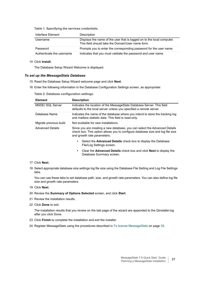**Table 1. Specifying the services credentials.**

| Interface Element         | Description                                                                                                                 |
|---------------------------|-----------------------------------------------------------------------------------------------------------------------------|
| Username                  | Displays the name of the user that is logged on to the local computer.<br>This field should take the Domain\User name form. |
| Password                  | Prompts you to enter the corresponding password for the user name.                                                          |
| Authenticate the username | Indicates that you must validate the password and user name.                                                                |

#### 14 Click **Install**.

The Database Setup Wizard Welcome is displayed.

#### *To set up the MessageStats Database*

- 15 Read the Database Setup Wizard welcome page and click **Next**.
- 16 Enter the following information in the Database Configuration Settings screen, as appropriate:

**Table 2. Database configuration settings.**

| <b>Element</b>          | <b>Description</b>                                                                                                                                                                          |  |
|-------------------------|---------------------------------------------------------------------------------------------------------------------------------------------------------------------------------------------|--|
| MSDE/ SQL Server        | Indicates the location of the MessageStats Database Server. This field<br>defaults to the local server unless you specified a remote server.                                                |  |
| Database Name           | Indicates the name of the database where you intend to store the tracking log<br>and mailbox statistic data. This field is read-only.                                                       |  |
| Migrate previous build  | Not available for new installations.                                                                                                                                                        |  |
| <b>Advanced Details</b> | Since you are creating a new database, you can select the Advanced Details<br>check box. This option allows you to configure database size and log file size<br>and growth rate parameters. |  |
|                         | Select the <b>Advanced Details</b> check box to display the Database<br>٠<br>File/Log Settings screen.                                                                                      |  |
|                         | Clear the <b>Advanced Details</b> check box and click <b>Next</b> to display the<br>٠<br>Database Summary screen.                                                                           |  |

#### 17 Click **Next**.

18 Select appropriate database size settings log file size using the Database File Setting and Log File Settings tabs.

You can use these tabs to set database path, size, and growth rate parameters. You can also define log file size and growth rate parameters.

- 19 Click **Next**.
- 20 Review the **Summary of Options Selected** screen, and click **Start**.
- 21 Review the installation results.
- 22 Click **Done** to exit.

The installation results that you review on the last page of the wizard are appended to the Qinstaller.log after you click Done.

- 23 Click **Finish** to complete the installation and exit the installer.
- 24 Register MessageStats using the procedures described in To license MessageStats on page 35.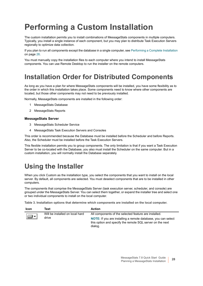# <span id="page-27-0"></span>**Performing a Custom Installation**

The custom installation permits you to install combinations of MessageStats components in multiple computers. Typically, you install a single instance of each component, but you may plan to distribute Task Execution Servers regionally to optimize data collection.

If you plan to run all components except the database in a single computer, see [Performing a Complete Installation](#page-25-0) [on page 26.](#page-25-0)

You must manually copy the installation files to each computer where you intend to install MessageStats components. You can use Remote Desktop to run the installer on the remote computers.

### <span id="page-27-1"></span>**Installation Order for Distributed Components**

As long as you have a plan for where MessageStats components will be installed, you have some flexibility as to the order in which this installation takes place. Some components need to know where other components are located, but those other components may not need to be previously installed.

Normally, MessageStats components are installed in the following order:

- 1 MessageStats Database
- 2 MessageStats Reports

#### **MessageStats Server**

- 3 MessageStats Scheduler Service
- 4 MessageStats Task Execution Servers and Consoles

This order is recommended because the Database must be installed before the Scheduler and before Reports. Also, the Scheduler must be installed before the Task Execution Servers.

This flexible installation permits you to group components. The only limitation is that if you want a Task Execution Server to be co-located with the Database, you also must install the Scheduler on the same computer. But in a custom installation, you will normally install the Database separately.

## <span id="page-27-2"></span>**Using the Installer**

When you click Custom as the installation type, you select the components that you want to install on the local server. By default, all components are selected. You must deselect components that are to be installed in other computers.

The components that comprise the MessageStats Server (task execution server, scheduler, and console) are grouped under the MessageStats Server. You can select them together, or expand the installer tree and select one or two individual components to install on the local computer.

**Table 3. Installation options that determine which components are installed on the local computer.**

| <b>Icon</b> | Text                            | Action                                                                                                                                       |
|-------------|---------------------------------|----------------------------------------------------------------------------------------------------------------------------------------------|
|             | Will be installed on local hard | All components of the selected feature are installed.                                                                                        |
|             | drive                           | <b>NOTE:</b> If you are installing a remote database, you can select<br>this option and specify the remote SQL server on the next<br>dialog. |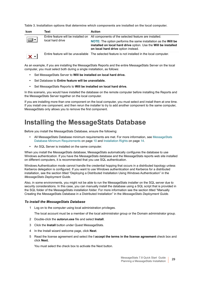**Table 3. Installation options that determine which components are installed on the local computer.**

| <b>Icon</b>    | Text             | <b>Action</b>                                                                                                                                                                          |
|----------------|------------------|----------------------------------------------------------------------------------------------------------------------------------------------------------------------------------------|
|                | local hard drive | Entire feature will be installed on All components of the selected feature are installed.                                                                                              |
|                |                  | <b>NOTE:</b> The option performs the same installation as the <b>Will be</b><br>installed on local hard drive option. Use the Will be installed<br>on local hard drive option instead. |
| $\mathbf{x}$ - |                  | Entire feature will be unavailable The selected feature is not installed in the local computer.                                                                                        |

As an example, if you are installing the MessageStats Reports and the entire MessageStats Server on the local computer, you must select both during a single installation, as follows:

- **•** Set MessageStats Server to **Will be installed on local hard drive.**
- **•** Set Database to **Entire feature will be unavailable.**
- **•** Set MessageStats Reports to **Will be installed on local hard drive.**

In this scenario, you would have installed the database on the remote computer before installing the Reports and the MessageStats Server together on the local computer.

If you are installing more than one component on the local computer, you must select and install them at one time. If you install one component, and then rerun the installer to try to add another component to the same computer, MessageStats only allows you to remove the first component.

### <span id="page-28-0"></span>**Installing the MessageStats Database**

Before you install the MessageStats Database, ensure the following:

- **•** All MessageStats Database minimum requirements are met. For more information, see [MessageStats](#page-9-3)  [Database Minimum Requirements on page 10](#page-9-3) and [Installation Rights on page 14](#page-13-3).
- **•** An SQL Server is installed on the same computer.

When you install the MessageStats database, MessageStats automatically configures the database to use Windows authentication. If you have the MessageStats database and the MessageStats reports web site installed on different computers, it is recommended that you use SQL authentication.

Windows Authentication mode cannot handle the credential hopping that occurs in a distributed topology unless Kerberos delegation is configured. If you want to use Windows authentication and Kerberos for a distributed installation, see the section titled "Deploying a Distributed Installation Using Windows Authentication" in the *MessageStats Deployment Guide*.

Also, in some environments, you might not be able to run the MessageStats installer on the SQL server due to security considerations. In this case, you can manually install the database using a SQL script that is provided in the SQL folder of the MessageStats installation folder. For more information see the section titled "Manually Creating the MessageStats Database in a Distributed Installation" in the *MessageStats Deployment Guide.*

#### *To install the MessageStats Database*

- 1 Log on to the computer using local administration privileges.
	- The local account must be a member of the local administrator group or the Domain administrator group.
- 2 Double-click the **autorun.exe** file and select **Install**.
- 3 Click the **Install** button under Quest MessageStats.
- 4 In the Install wizard welcome page, click **Next**.
- 5 Read the license agreement and select the **I accept the terms in the license agreement** check box and click **Next.**

You must select the check box to activate the Next button.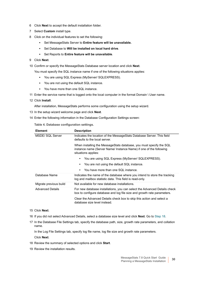- 6 Click **Next** to accept the default installation folder.
- 7 Select **Custom** install type.
- 8 Click on the individual features to set the following:
	- **▪** Set MessageStats Server to **Entire feature will be unavailable.**
	- **▪** Set Database to **Will be installed on local hard drive**.
	- **▪** Set Reports to **Entire feature will be unavailable**.

#### 9 Click **Next**.

10 Confirm or specify the MessageStats Database server location and click **Next**.

You must specify the SQL instance name if one of the following situations applies:

- **▪** You are using SQL Express (MyServer/ SQLEXPRESS).
- **▪** You are not using the default SQL instance.
- **▪** You have more than one SQL instance.
- 11 Enter the service name that is logged onto the local computer in the format Domain \ User name.
- 12 Click **Install**.
	- After installation, MessageStats performs some configuration using the setup wizard.
- 13 In the setup wizard welcome page and click **Next**.
- 14 Enter the following information in the Database Configuration Settings screen:

### **Table 4. Database configuration settings.**

| <b>Element</b>          | <b>Description</b>                                                                                                                                               |  |
|-------------------------|------------------------------------------------------------------------------------------------------------------------------------------------------------------|--|
| MSDE/ SQL Server        | Indicates the location of the MessageStats Database Server. This field<br>defaults to the local server.                                                          |  |
|                         | When installing the MessageStats database, you must specify the SQL<br>instance name (Server Name/ Instance Name) if one of the following<br>situations applies: |  |
|                         | You are using SQL Express (MyServer/ SQLEXPRESS).                                                                                                                |  |
|                         | You are not using the default SQL instance.<br>٠                                                                                                                 |  |
|                         | You have more than one SQL instance.                                                                                                                             |  |
| Database Name           | Indicates the name of the database where you intend to store the tracking<br>log and mailbox statistic data. This field is read-only.                            |  |
| Migrate previous build  | Not available for new database installations.                                                                                                                    |  |
| <b>Advanced Details</b> | For new database installations, you can select the Advanced Details check<br>box to configure database and log file size and growth rate parameters.             |  |
|                         | Clear the Advanced Details check box to skip this action and select a<br>database size level instead.                                                            |  |

#### 15 Click **Next**.

- 16 If you did not select Advanced Details, select a database size level and click **Next**. Go to Step 18.
- 17 In the Database File Settings tab, specify the database path, size, growth rate parameters, and collation name.

In the Log File Settings tab, specify log file name, log file size and growth rate parameters. Click **Next**.

- 18 Review the summary of selected options and click **Start**.
- 19 Review the installation results.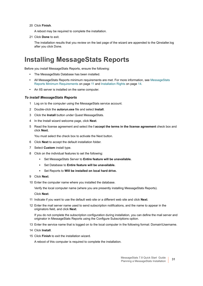20 Click **Finish**.

A reboot may be required to complete the installation.

21 Click **Done** to exit.

The installation results that you review on the last page of the wizard are appended to the Qinstaller.log after you click Done.

### <span id="page-30-0"></span>**Installing MessageStats Reports**

Before you install MessageStats Reports, ensure the following:

- **•** The MessageStats Database has been installed.
- **•** All MessageStats Reports minimum requirements are met. For more information, see [MessageStats](#page-10-1)  [Reports Minimum Requirements on page 11](#page-10-1) and [Installation Rights on page 14.](#page-13-3)
- **•** An IIS server is installed on the same computer.

### *To install MessageStats Reports*

- 1 Log on to the computer using the MessageStats service account.
- 2 Double-click the **autorun.exe** file and select **Install**.
- 3 Click the **Install** button under Quest MessageStats.
- 4 In the Install wizard welcome page, click **Next**.
- 5 Read the license agreement and select the **I accept the terms in the license agreement** check box and click **Next.**

You must select the check box to activate the Next button.

- 6 Click **Next** to accept the default installation folder.
- 7 Select **Custom** install type.
- 8 Click on the individual features to set the following:
	- **▪** Set MessageStats Server to **Entire feature will be unavailable.**
	- **▪** Set Database to **Entire feature will be unavailable.**
	- **▪** Set Reports to **Will be installed on local hard drive.**
- 9 Click **Next**.
- 10 Enter the computer name where you installed the database.

Verify the local computer name (where you are presently installing MessageStats Reports).

Click **Next**.

- 11 Indicate if you want to use the default web site or a different web site and click **Next**.
- 12 Enter the mail server name used to send subscription notifications, and the name to appear in the originators field, and click **Next**.

If you do not complete the subscription configuration during installation, you can define the mail server and originator in MessageStats Reports using the Configure Subscriptions option.

- 13 Enter the service name that is logged on to the local computer in the following format: Domain\Username.
- 14 Click **Install**.
- 15 Click **Finish** to exit the installation wizard.

A reboot of this computer is required to complete the installation.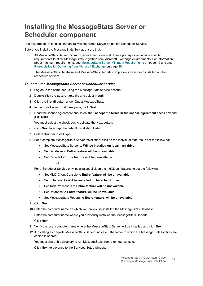## <span id="page-31-0"></span>**Installing the MessageStats Server or Scheduler component**

Use this procedure to install the entire MessageStats Server or just the Scheduler Service.

Before you install the MessageStats Server, ensure that:

- **•** All MessageStats Server minimum requirements are met. These prerequisites include specific requirements to allow MessageStats to gather from Microsoft Exchange environments. For information about minimum requirements, see [MessageStats Server Minimum Requirements on page 12](#page-11-1) and also [Prerequisites for Gathering from Microsoft Exchange on page 18.](#page-17-3)
- **•** The MessageStats Database and MessageStats Reports components have been installed on their respective servers.

### *To install the MessageStats Server or Scheduler Service*

- 1 Log on to the computer using the MessageStats service account.
- 2 Double-click the **autorun.exe** file and select **Install**.
- 3 Click the **Install** button under Quest MessageStats.
- 4 In the Install wizard welcome page, click **Next**.
- 5 Read the license agreement and select the **I accept the terms in the license agreement** check box and click **Next.**

You must select the check box to activate the Next button.

- 6 Click **Next** to accept the default installation folder.
- 7 Select **Custom** install type.
- 8 For a complete MessageStats Server installation, click on the individual features to set the following:
	- **▪** Set MessageStats Server to **Will be installed on local hard drive**.
	- **▪** Set Database to **Entire feature will be unavailable.**
	- **▪** Set Reports to **Entire feature will be unavailable.**
		- $-$  OR  $-$

For a Scheduler Service only installation, click on the individual features to set the following:

- **▪** Set MMC Client Console to **Entire feature will be unavailable**.
- **▪** Set Scheduler to **Will be installed on local hard drive**.
- **▪** Set Task Processors to **Entire feature will be unavailable**.
- **▪** Set Database to **Entire feature will be unavailable.**
- **▪** Set MessageStats Reports to **Entire feature will be unavailable.**
- 9 Click **Next.**
- 10 Enter the computer name on which you previously installed the MessageStats Database.

Enter the computer name where you previously installed the MessageStats Reports.

Click **Next**.

- 11 Verify the local computer name where the MessageStats Server will be installed and click **Next**.
- 12 If installing a complete MessageStats Server, indicate if the folder to which the MessageStats log files are copied is shared.

You must share this directory to run MessageStats from a remote console.

Click **Next** to advance to the Services Setup window.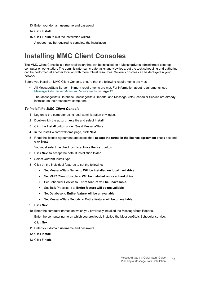- 13 Enter your domain username and password.
- 14 Click **Install**.
- 15 Click **Finish** to exit the installation wizard.

A reboot may be required to complete the installation.

### <span id="page-32-0"></span>**Installing MMC Client Consoles**

The MMC Client Console is a thin application that can be installed on a MessageStats administrator's laptop computer or workstation. The administrator can create tasks and view logs, but the task scheduling and gathering can be performed at another location with more robust resources. Several consoles can be deployed in your network.

Before you install an MMC Client Console, ensure that the following requirements are met:

- **•** All MessageStats Server minimum requirements are met. For information about requirements, see [MessageStats Server Minimum Requirements on page 12.](#page-11-1)
- **•** The MessageStats Database, MessageStats Reports, and MessageStats Scheduler Service are already installed on their respective computers.

#### *To install the MMC Client Console*

- 1 Log on to the computer using local administration privileges.
- 2 Double-click the **autorun.exe** file and select **Install**.
- 3 Click the **Install** button under Quest MessageStats.
- 4 In the Install wizard welcome page, click **Next**.
- 5 Read the license agreement and select the **I accept the terms in the license agreement** check box and click **Next.**

You must select the check box to activate the Next button.

- 6 Click **Next** to accept the default installation folder.
- 7 Select **Custom** install type.
- 8 Click on the individual features to set the following:
	- **▪** Set MessageStats Server to **Will be installed on local hard drive.**
	- **▪** Set MMC Client Console to **Will be installed on local hard drive.**
	- **▪** Set Scheduler Service to **Entire feature will be unavailable.**
	- **▪** Set Task Processors to **Entire feature will be unavailable**.
	- **▪** Set Database to **Entire feature will be unavailable.**
	- **▪** Set MessageStats Reports to **Entire feature will be unavailable.**
- 9 Click **Next**.
- 10 Enter the computer names on which you previously installed the MessageStats Reports.

Enter the computer name on which you previously installed the MessageStats Scheduler service. Click **Next**.

- 11 Enter your domain username and password.
- 12 Click **Install**.
- 13 Click **Finish**.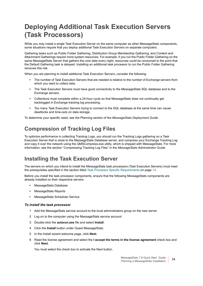## <span id="page-33-0"></span>**Deploying Additional Task Execution Servers (Task Processors)**

While you may install a single Task Execution Server on the same computer as other MessageStats components, some situations require that you deploy additional Task Execution Servers on separate computers.

Gathering tasks such as Public Folder Gathering, Distribution Group Membership Gathering, and Content and Attachment Gatherings require more system resources. For example, if you run the Public Folder Gathering on the same MessageStats Server that gathers the core data every night, resources could be consumed to the point that the Default Gathering task is delayed. Installing an additional task processor to run the Public Folder Gathering removes this risk.

When you are planning to install additional Task Execution Servers, consider the following:

- **•** The number of Task Execution Servers that are needed is relative to the number of Exchange servers from which you want to collect data.
- **•** The Task Execution Servers must have good connectivity to the MessageStats SQL database and to the Exchange servers.
- **•** Collections must complete within a 24-hour cycle so that MessageStats does not continually get backlogged in Exchange tracking log processing.
- **•** Too many Task Execution Servers trying to connect to the SQL database at the same time can cause deadlocks and time-outs on data storage.

To determine your specific need, see the Planning section of the *MessageStats Deployment Guide*.

### **Compression of Tracking Log Files**

To optimize performance in collecting Tracking Logs, you should run the Tracking Logs gathering on a Task Execution Server that is close to the MessageStats Database server, and compress your Exchange Tracking Log and copy it over the network using the QMSCompress.exe utility, which is shipped with MessageStats. For more information, see the section "Compressing Tracking Log Files" in the *MessageStats Administrator Guide*.

### **Installing the Task Execution Server**

The servers on which you intend to install the MessageStats task processors (Task Execution Servers) must meet the prerequisites specified in the section titled [Task Processor Specific Requirements on page 13](#page-12-1).

Before you install the task processor components, ensure that the following MessageStats components are already installed on their respective servers:

- **•** MessageStats Database
- **•** MessageStats Reports
- **•** MessageStats Scheduler Service

### *To install the task processor*

- 1 Add the MessageStats service account to the local administrators group on the new server.
- 2 Log on to the computer using the MessageStats service account.
- 3 Double-click the **autorun.exe** file and select **Install**.
- 4 Click the **Install** button under Quest MessageStats.
- 5 In the Install wizard welcome page, click **Next**.
- 6 Read the license agreement and select the **I accept the terms in the license agreement** check box and click **Next.**

You must select the check box to activate the Next button.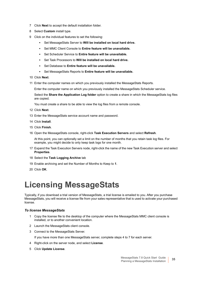- 7 Click **Next** to accept the default installation folder.
- 8 Select **Custom** install type.
- 9 Click on the individual features to set the following:
	- **▪** Set MessageStats Server to **Will be installed on local hard drive.**
	- **▪** Set MMC Client Console to **Entire feature will be unavailable.**
	- **▪** Set Scheduler Service to **Entire feature will be unavailable.**
	- **▪** Set Task Processors to **Will be installed on local hard drive.**
	- **▪** Set Database to **Entire feature will be unavailable.**
	- **▪** Set MessageStats Reports to **Entire feature will be unavailable.**
- 10 Click **Next**.
- 11 Enter the computer names on which you previously installed the MessageStats Reports.

Enter the computer name on which you previously installed the MessageStats Scheduler service.

Select the **Share the Application Log folder** option to create a share in which the MessageStats log files are copied.

You must create a share to be able to view the log files from a remote console.

- 12 Click **Next**.
- 13 Enter the MessageStats service account name and password.
- 14 Click **Install**.
- 15 Click **Finish**.
- 16 Open the MessageStats console, right-click **Task Execution Servers** and select **Refresh**.

At this point, you can optionally set a limit on the number of months that you retain task log files. For example, you might decide to only keep task logs for one month.

- 17 Expand the Task Execution Servers node, right-click the name of the new Task Execution server and select **Properties**.
- 18 Select the **Task Logging Archive** tab
- 19 Enable archiving and set the Number of Months to Keep to **1**.
- 20 Click **OK**.

# <span id="page-34-0"></span>**Licensing MessageStats**

Typically, if you download a trial version of MessageStats, a trial license is emailed to you. After you purchase MessageStats, you will receive a license file from your sales representative that is used to activate your purchased license.

#### *To license MessageStats*

- 1 Copy the license file to the desktop of the computer where the MessageStats MMC client console is installed, or to another convenient location.
- 2 Launch the MessageStats client console.
- 3 Connect to the MessageStats Server.
	- If you have more than one MessageStats server, complete steps 4 to 7 for each server.
- 4 Right-click on the server node, and select **License**.
- 5 Click **Update License**.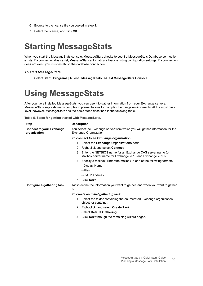- 6 Browse to the license file you copied in step 1.
- 7 Select the license, and click **OK**.

# <span id="page-35-0"></span>**Starting MessageStats**

When you start the MessageStats console, MessageStats checks to see if a MessageStats Database connection exists. If a connection does exist, MessageStats automatically loads existing configuration settings. If a connection does not exist, you must establish the database connection.

#### *To start MessageStats*

**•** Select **Start | Programs | Quest | MessageStats | Quest MessageStats Console**.

# <span id="page-35-1"></span>**Using MessageStats**

After you have installed MessageStats, you can use it to gather information from your Exchange servers. MessageStats supports many complex implementations for complex Exchange environments. At the most basic level, however, MessageStats has the basic steps described in the following table.

| Table 5. Steps for getting started with MessageStats. |  |  |
|-------------------------------------------------------|--|--|
|-------------------------------------------------------|--|--|

| <b>Step</b>                                     | <b>Description</b>                                                                                                                                |  |
|-------------------------------------------------|---------------------------------------------------------------------------------------------------------------------------------------------------|--|
| <b>Connect to your Exchange</b><br>organization | You select the Exchange server from which you will gather information for the<br>Exchange Organization.<br>To connect to an Exchange organization |  |
|                                                 |                                                                                                                                                   |  |
|                                                 | Select the Exchange Organizations node.<br>1.                                                                                                     |  |
|                                                 | Right-click and select <b>Connect</b> .<br>2                                                                                                      |  |
|                                                 | Enter the NETBIOS name for an Exchange CAS server name (or<br>3<br>Mailbox server name for Exchange 2016 and Exchange 2019)                       |  |
|                                                 | Specify a mailbox. Enter the mailbox in one of the following formats:<br>4                                                                        |  |
|                                                 | - Display Name                                                                                                                                    |  |
|                                                 | - Alias                                                                                                                                           |  |
|                                                 | - SMTP Address                                                                                                                                    |  |
|                                                 | <b>Click Next.</b><br>5                                                                                                                           |  |
| Configure a gathering task                      | Tasks define the information you want to gather, and when you want to gather<br>it.                                                               |  |
|                                                 | To create an initial gathering task                                                                                                               |  |
|                                                 | Select the folder containing the enumerated Exchange organization,<br>1.<br>object, or container.                                                 |  |
|                                                 | Right-click, and select Create Task.<br>2                                                                                                         |  |
|                                                 | <b>Select Default Gathering.</b><br>3                                                                                                             |  |
|                                                 | Click <b>Next</b> through the remaining wizard pages.<br>4                                                                                        |  |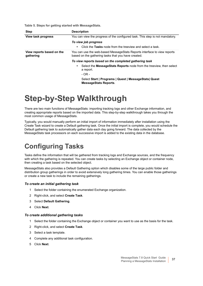**Table 5. Steps for getting started with MessageStats.**

| <b>Step</b>                            | <b>Description</b>                                                                                                              |
|----------------------------------------|---------------------------------------------------------------------------------------------------------------------------------|
| View task progress                     | You can view the progress of the configured task. This step is not mandatory.                                                   |
|                                        | To view job progress<br>Click the Tasks node from the treeview and select a task.<br>$\bullet$                                  |
| View reports based on the<br>gathering | You can use the web-based MessageStats Reports interface to view reports<br>based on the gathering tasks that you have created. |
|                                        | To view reports based on the completed gathering task                                                                           |
|                                        | Select the <b>MessageStats Reports</b> node from the treeview, then select<br>٠<br>a report.                                    |
|                                        | $-OR -$                                                                                                                         |
|                                        | Select Start   Programs   Quest   MessageStats  Quest<br><b>MessageStats Reports.</b>                                           |

# <span id="page-36-0"></span>**Step-by-Step Walkthrough**

There are two main functions of MessageStats: importing tracking logs and other Exchange information, and creating appropriate reports based on the imported data. This step-by-step walkthrough takes you through the most common usage of MessageStats.

Typically, you would manually perform an initial import of information immediately after installation using the Create Task wizard to create a Default gathering task. Once the initial import is complete, you would schedule the Default gathering task to automatically gather data each day going forward. The data collected by the MessageStats task processors on each successive import is added to the existing data in the database.

## <span id="page-36-1"></span>**Configuring Tasks**

Tasks define the information that will be gathered from tracking logs and Exchange sources, and the frequency with which the gathering is repeated. You can create tasks by selecting an Exchange object or container node, then creating a task based on the selected object.

MessageStats also provides a Default Gathering option which disables some of the large public folder and distribution group gatherings in order to avoid extensively long gathering times. You can enable those gatherings or create a new task to include the remaining gatherings.

### *To create an initial gathering task*

- 1 Select the folder containing the enumerated Exchange organization.
- 2 Right-click, and select **Create Task**.
- 3 Select **Default Gathering**.
- 4 Click **Next**.

### *To create additional gathering tasks*

- 1 Select the folder containing the Exchange object or container you want to use as the basis for the task.
- 2 Right-click, and select **Create Task**.
- 3 Select a task template.
- 4 Complete any additional task configuration.
- 5 Click **Next**.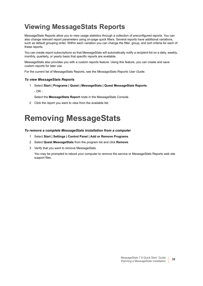## <span id="page-37-0"></span>**Viewing MessageStats Reports**

MessageStats Reports allow you to view usage statistics through a collection of preconfigured reports. You can also change relevant report parameters using on-page quick filters. Several reports have additional variations, such as default grouping order. Within each variation you can change the filter, group, and sort criteria for each of these reports.

You can create report subscriptions so that MessageStats will automatically notify a recipient list on a daily, weekly, monthly, quarterly, or yearly basis that specific reports are available.

MessageStats also provides you with a custom reports feature. Using this feature, you can create and save custom reports for later use.

For the current list of MessageStats Reports, see the *MessageStats Reports User Guide*.

### *To view MessageStats Reports*

- 1 Select **Start | Programs | Quest | MessageStats | Quest MessageStats Reports**.
	- OR -

Select the **MessageStats Report** node in the MessageStats Console.

2 Click the report you want to view from the available list.

# <span id="page-37-1"></span>**Removing MessageStats**

#### *To remove a complete MessageStats installation from a computer*

- 1 Select **Start | Settings | Control Panel | Add or Remove Programs**.
- 2 Select **Quest MessageStats** from the program list and click **Remove**.
- 3 Verify that you want to remove MessageStats.

You may be prompted to reboot your computer to remove the service or MessageStats Reports web site support files.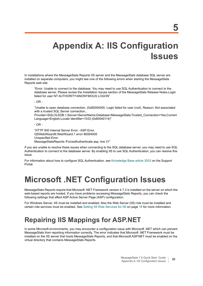# <span id="page-38-3"></span><span id="page-38-0"></span>**Appendix A: IIS Configuration Issues**

In installations where the MessageStats Reports IIS server and the MessageStats database SQL server are installed on separate computers, you might see one of the following errors when starting the MessageStats Reports web site:

"Error: Unable to connect to the database. You may need to use SQL Authentication to connect to the database server. Please review the Installation Issues section of the MessageStats Release Notes.Login failed for user NT AUTHORITY\ANONYMOUS LOGON"

- OR -

"Unable to open database connection. (0x80004005: Login failed for user (null). Reason: Not associated with a trusted SQL Server connection.,

Provider=SQLOLEDB.1;Server=ServerName;Database=MessageStats;Trusted\_Connection=Yes;Current Language=English;Locale Identifier=1033 (0x80040114)"

- OR -

"HTTP 500 Internal Server Error - ASP Error. QSWebWizard9.WebWizard.1 error 80004005 Unspecified Error MessageStatsReports /ForcedAuthenticate.asp, line 31"

If you are unable to resolve these issues when connecting to the SQL database server, you may need to use SQL Authentication to connect to the database server. By enabling IIS to use SQL Authentication, you can resolve this issue.

For information about how to configure SQL Authentication, see [Knowledge Base article 3553](https://support.quest.com/SolutionDetail.aspx?id=SOL3553&category=Solutions&SKB=1&product=MessageStats) on the Support Portal.

# <span id="page-38-1"></span>**Microsoft .NET Configuration Issues**

MessageStats Reports require that Microsoft .NET Framework version 4.7.2 is installed on the server on which the web-based reports are hosted. If you have problems accessing MessageStats Reports, you can check the following settings that affect ASP Active Server Page (ASP) configuration.

For Windows Server, IIS must be installed and enabled. Also the Web Server (IIS) role must be installed and certain role services must be enabled. See [Setting IIS Role Services for IIS on page 16](#page-15-2) for more information.

## <span id="page-38-2"></span>**Repairing IIS Mappings for ASP.NET**

In some Microsoft environments, you may encounter a configuration issue with Microsoft .NET which can prevent MessageStats from reporting information correctly. The error indicates that Microsoft .NET Framework must be installed on the IIS server that hosts MessageStats Reports, and that Microsoft ASP.NET must be enabled on the virtual directory that contains MessageStats Reports.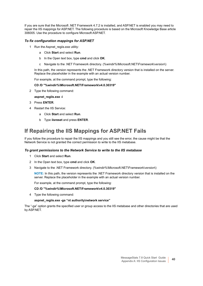If you are sure that the Microsoft .NET Framework 4.7.2 is installed, and ASP.NET is enabled you may need to repair the IIS mappings for ASP.NET. The following procedure is based on the Microsoft Knowledge Base article 306005. Use the procedure to configure Microsoft ASP.NET.

### *To fix configuration mappings for ASP.NET*

- 1 Run the Aspnet regiis.exe utility:
	- a Click **Start** and select **Run**.
	- b In the Open text box, type **cmd** and click **OK**.
	- c Navigate to the .NET Framework directory. (%windir%\Microsoft.NET\Framework\*version*\)

In this path, the version represents the .NET Framework directory version that is installed on the server. Replace the placeholder in the example with an actual version number.

For example, at the command prompt, type the following:

#### **CD /D "%windir%\Microsoft.NET\Framework\v4.0.30319"**

2 Type the following command:

**aspnet\_regiis.exe -i**

- 3 Press **ENTER**.
- 4 Restart the IIS Service:
	- a Click **Start** and select **Run**.
	- b Type **iisreset** and press **ENTER**.

### **If Repairing the IIS Mappings for ASP.NET Fails**

If you follow the procedure to repair the IIS mappings and you still see the error, the cause might be that the Network Service is not granted the correct permission to write to the IIS metabase.

#### *To grant permissions to the Network Service to write to the IIS metabase*

- 1 Click **Start** and select **Run**.
- 2 In the Open text box, type **cmd** and click **OK**.
- 3 Navigate to the .NET Framework directory. (%windir%\Microsoft.NET\Framework\*version*\)

**NOTE:** In this path, the version represents the .NET Framework directory version that is installed on the server. Replace the placeholder in the example with an actual version number.

For example, at the command prompt, type the following:

#### **CD /D "%windir%\Microsoft.NET\Framework\v4.0.30319"**

4 Type the following command:

#### **aspnet\_regiis.exe -ga "nt authority\network service"**

The "-ga" option grants the specified user or group access to the IIS metabase and other directories that are used by ASP.NET.